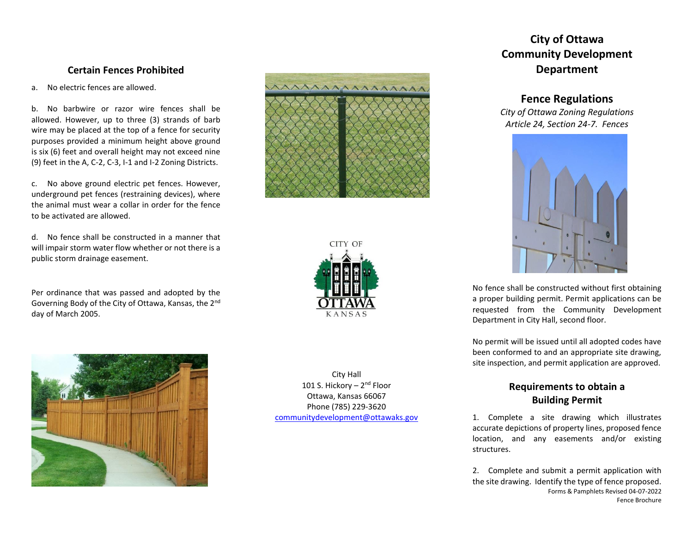## **Certain Fences Prohibited**

a. No electric fences are allowed.

b. No barbwire or razor wire fences shall be allowed. However, up to three (3) strands of barb wire may be placed at the top of a fence for security purposes provided a minimum height above ground is six (6) feet and overall height may not exceed nine (9) feet in the A, C-2, C-3, I-1 and I-2 Zoning Districts.

c. No above ground electric pet fences. However, underground pet fences (restraining devices), where the animal must wear a collar in order for the fence to be activated are allowed.

d. No fence shall be constructed in a manner that will impair storm water flow whether or not there is a public storm drainage easement.

Per ordinance that was passed and adopted by the Governing Body of the City of Ottawa, Kansas, the 2nd day of March 2005.







City Hall 101 S. Hickory - 2<sup>nd</sup> Floor Ottawa, Kansas 66067 Phone (785) 229-3620 [communitydevelopment@ottawaks.gov](mailto:communitydevelopment@ottawaks.gov)

# **City of Ottawa Community Development Department**

### **Fence Regulations**

*City of Ottawa Zoning Regulations Article 24, Section 24-7. Fences*



No fence shall be constructed without first obtaining a proper building permit. Permit applications can be requested from the Community Development Department in City Hall, second floor.

No permit will be issued until all adopted codes have been conformed to and an appropriate site drawing, site inspection, and permit application are approved.

# **Requirements to obtain a Building Permit**

1. Complete a site drawing which illustrates accurate depictions of property lines, proposed fence location, and any easements and/or existing structures.

Forms & Pamphlets Revised 04-07-2022 Fence Brochure 2. Complete and submit a permit application with the site drawing. Identify the type of fence proposed.